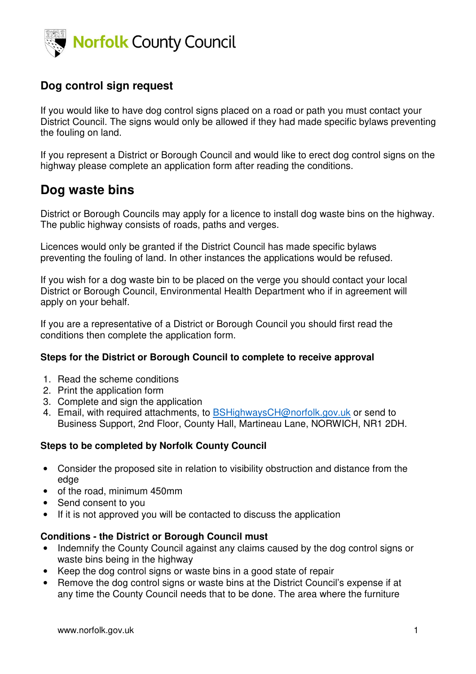

# **Dog control sign request**

If you would like to have dog control signs placed on a road or path you must contact your District Council. The signs would only be allowed if they had made specific bylaws preventing the fouling on land.

If you represent a District or Borough Council and would like to erect dog control signs on the highway please complete an application form after reading the conditions.

# **Dog waste bins**

District or Borough Councils may apply for a licence to install dog waste bins on the highway. The public highway consists of roads, paths and verges.

Licences would only be granted if the District Council has made specific bylaws preventing the fouling of land. In other instances the applications would be refused.

If you wish for a dog waste bin to be placed on the verge you should contact your local District or Borough Council, Environmental Health Department who if in agreement will apply on your behalf.

If you are a representative of a District or Borough Council you should first read the conditions then complete the application form.

## **Steps for the District or Borough Council to complete to receive approval**

- 1. Read the scheme conditions
- 2. Print the application form
- 3. Complete and sign the application
- 4. Email, with required attachments, to BSHighwaysCH@norfolk.gov.uk or send to Business Support, 2nd Floor, County Hall, Martineau Lane, NORWICH, NR1 2DH.

## **Steps to be completed by Norfolk County Council**

- Consider the proposed site in relation to visibility obstruction and distance from the edge
- of the road, minimum 450mm
- Send consent to you
- If it is not approved you will be contacted to discuss the application

#### **Conditions - the District or Borough Council must**

- Indemnify the County Council against any claims caused by the dog control signs or waste bins being in the highway
- Keep the dog control signs or waste bins in a good state of repair
- Remove the dog control signs or waste bins at the District Council's expense if at any time the County Council needs that to be done. The area where the furniture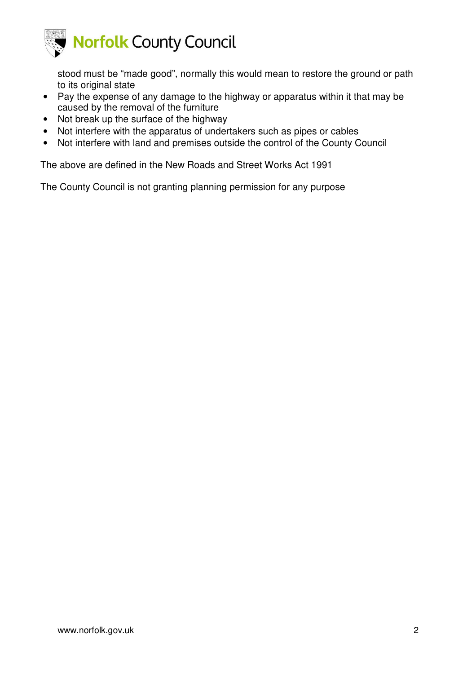

stood must be "made good", normally this would mean to restore the ground or path to its original state

- Pay the expense of any damage to the highway or apparatus within it that may be caused by the removal of the furniture
- Not break up the surface of the highway
- Not interfere with the apparatus of undertakers such as pipes or cables
- Not interfere with land and premises outside the control of the County Council

The above are defined in the New Roads and Street Works Act 1991

The County Council is not granting planning permission for any purpose